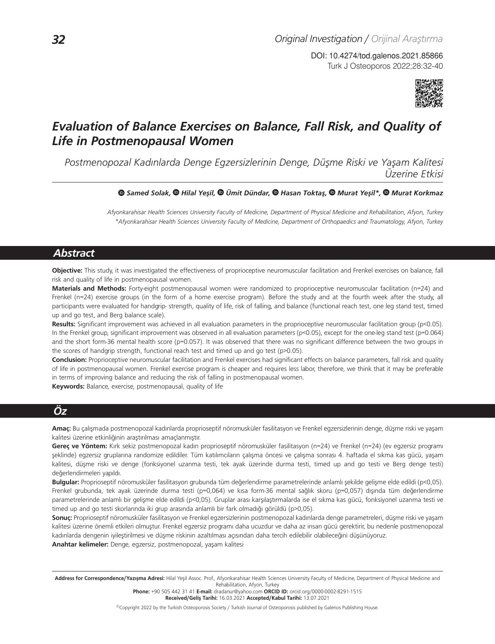Turk J Osteoporos 2022;28:32-40 DOI: 10.4274/tod.galenos.2021.85866



# *Evaluation of Balance Exercises on Balance, Fall Risk, and Quality of Life in Postmenopausal Women*

*Postmenopozal Kadınlarda Denge Egzersizlerinin Denge, Düşme Riski ve Yaşam Kalitesi Üzerine Etkisi*

#### *Samed Solak,Hilal Yeşil,Ümit Dündar, Hasan Toktaş,Murat Yeşil\*,Murat Korkmaz*

*Afyonkarahisar Health Sciences University Faculty of Medicine, Department of Physical Medicine and Rehabilitation, Afyon, Turkey \*Afyonkarahisar Health Sciences University Faculty of Medicine, Department of Orthopaedics and Traumatology, Afyon, Turkey*

# *Abstract*

**Objective:** This study, it was investigated the effectiveness of proprioceptive neuromuscular facilitation and Frenkel exercises on balance, fall risk and quality of life in postmenopausal women.

**Materials and Methods:** Forty-eight postmenopausal women were randomized to proprioceptive neuromuscular facilitation (n=24) and Frenkel (n=24) exercise groups (in the form of a home exercise program). Before the study and at the fourth week after the study, all participants were evaluated for handgrip- strength, quality of life, risk of falling, and balance (functional reach test, one leg stand test, timed up and go test, and Berg balance scale).

**Results:** Significant improvement was achieved in all evaluation parameters in the proprioceptive neuromuscular facilitation group (p<0.05). In the Frenkel group, significant improvement was observed in all evaluation parameters (p<0.05), except for the one-leg stand test (p=0.064) and the short form-36 mental health score (p=0.057). It was observed that there was no significant difference between the two groups in the scores of handgrip strength, functional reach test and timed up and go test (p>0.05).

**Conclusion:** Proprioceptive neuromuscular facilitation and Frenkel exercises had significant effects on balance parameters, fall risk and quality of life in postmenopausal women. Frenkel exercise program is cheaper and requires less labor, therefore, we think that it may be preferable in terms of improving balance and reducing the risk of falling in postmenopausal women.

**Keywords:** Balance, exercise, postmenopausal, quality of life

# *Öz*

**Amaç:** Bu çalışmada postmenopozal kadınlarda proprioseptif nöromusküler fasilitasyon ve Frenkel egzersizlerinin denge, düşme riski ve yaşam kalitesi üzerine etkinliğinin araştırılması amaçlanmıştır.

Gereç ve Yöntem: Kırk sekiz postmenopozal kadın proprioseptif nöromusküler fasilitasyon (n=24) ve Frenkel (n=24) (ev egzersiz programı şeklinde) egzersiz gruplarına randomize edildiler. Tüm katılımcıların çalışma öncesi ve çalışma sonrası 4. haftada el sıkma kas gücü, yaşam kalitesi, düşme riski ve denge (fonksiyonel uzanma testi, tek ayak üzerinde durma testi, timed up and go testi ve Berg denge testi) değerlendirmeleri yapıldı.

**Bulgular:** Proprioseptif nöromusküler fasilitasyon grubunda tüm değerlendirme parametrelerinde anlamlı şekilde gelişme elde edildi (p<0,05). Frenkel grubunda, tek ayak üzerinde durma testi (p=0,064) ve kısa form-36 mental sağlık skoru (p=0,057) dışında tüm değerlendirme parametrelerinde anlamlı bir gelişme elde edildi (p<0,05). Gruplar arası karşılaştırmalarda ise el sıkma kas gücü, fonksiyonel uzanma testi ve timed up and go testi skorlarında iki grup arasında anlamlı bir fark olmadığı görüldü (p>0,05).

**Sonuç:** Proprioseptif nöromusküler fasilitasyon ve Frenkel egzersizlerinin postmenopozal kadınlarda denge parametreleri, düşme riski ve yaşam kalitesi üzerine önemli etkileri olmuştur. Frenkel egzersiz programı daha ucuzdur ve daha az insan gücü gerektirir, bu nedenle postmenopozal kadınlarda dengenin iyileştirilmesi ve düşme riskinin azaltılması açısından daha tercih edilebilir olabileceğini düşünüyoruz. **Anahtar kelimeler:** Denge, egzersiz, postmenopozal, yaşam kalitesi

Address for Correspondence/Yazışma Adresi: Hilal Yeşil Assoc. Prof., Afyonkarahisar Health Sciences University Faculty of Medicine, Department of Physical Medicine and Rehabilitation, Afyon, Turkey

**Phone:** +90 505 442 31 41 **E-mail:** dradanur@yahoo.com **ORCID ID:** orcid.org/0000-0002-8291-1515 **Received/Geliş Tarihi:** 16.03.2021 **Accepted/Kabul Tarihi:** 13.07.2021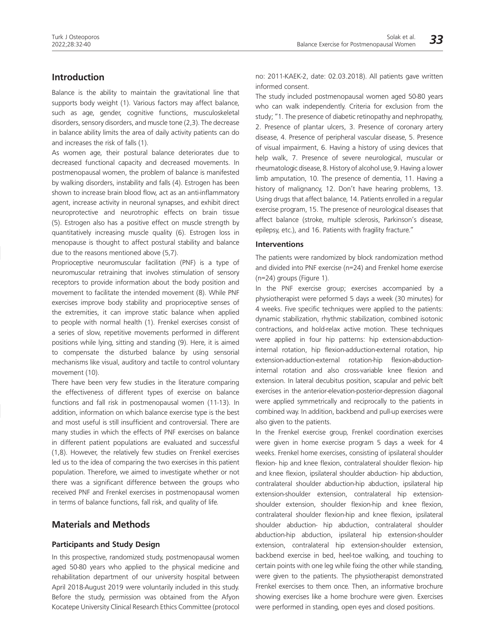# **Introduction**

Balance is the ability to maintain the gravitational line that supports body weight (1). Various factors may affect balance, such as age, gender, cognitive functions, musculoskeletal disorders, sensory disorders, and muscle tone (2,3). The decrease in balance ability limits the area of daily activity patients can do and increases the risk of falls (1).

As women age, their postural balance deteriorates due to decreased functional capacity and decreased movements. In postmenopausal women, the problem of balance is manifested by walking disorders, instability and falls (4). Estrogen has been shown to increase brain blood flow, act as an anti-inflammatory agent, increase activity in neuronal synapses, and exhibit direct neuroprotective and neurotrophic effects on brain tissue (5). Estrogen also has a positive effect on muscle strength by quantitatively increasing muscle quality (6). Estrogen loss in menopause is thought to affect postural stability and balance due to the reasons mentioned above (5,7).

Proprioceptive neuromuscular facilitation (PNF) is a type of neuromuscular retraining that involves stimulation of sensory receptors to provide information about the body position and movement to facilitate the intended movement (8). While PNF exercises improve body stability and proprioceptive senses of the extremities, it can improve static balance when applied to people with normal health (1). Frenkel exercises consist of a series of slow, repetitive movements performed in different positions while lying, sitting and standing (9). Here, it is aimed to compensate the disturbed balance by using sensorial mechanisms like visual, auditory and tactile to control voluntary movement (10).

There have been very few studies in the literature comparing the effectiveness of different types of exercise on balance functions and fall risk in postmenopausal women (11-13). In addition, information on which balance exercise type is the best and most useful is still insufficient and controversial. There are many studies in which the effects of PNF exercises on balance in different patient populations are evaluated and successful (1,8). However, the relatively few studies on Frenkel exercises led us to the idea of comparing the two exercises in this patient population. Therefore, we aimed to investigate whether or not there was a significant difference between the groups who received PNF and Frenkel exercises in postmenopausal women in terms of balance functions, fall risk, and quality of life.

# **Materials and Methods**

#### **Participants and Study Design**

In this prospective, randomized study, postmenopausal women aged 50-80 years who applied to the physical medicine and rehabilitation department of our university hospital between April 2018-August 2019 were voluntarily included in this study. Before the study, permission was obtained from the Afyon Kocatepe University Clinical Research Ethics Committee (protocol no: 2011-KAEK-2, date: 02.03.2018). All patients gave written informed consent.

The study included postmenopausal women aged 50-80 years who can walk independently. Criteria for exclusion from the study; "1. The presence of diabetic retinopathy and nephropathy, 2. Presence of plantar ulcers, 3. Presence of coronary artery disease, 4. Presence of peripheral vascular disease, 5. Presence of visual impairment, 6. Having a history of using devices that help walk, 7. Presence of severe neurological, muscular or rheumatologic disease, 8. History of alcohol use, 9. Having a lower limb amputation, 10. The presence of dementia, 11. Having a history of malignancy, 12. Don't have hearing problems, 13. Using drugs that affect balance, 14. Patients enrolled in a regular exercise program, 15. The presence of neurological diseases that affect balance (stroke, multiple sclerosis, Parkinson's disease, epilepsy, etc.), and 16. Patients with fragility fracture."

#### **Interventions**

The patients were randomized by block randomization method and divided into PNF exercise (n=24) and Frenkel home exercise (n=24) groups (Figure 1).

In the PNF exercise group; exercises accompanied by a physiotherapist were peformed 5 days a week (30 minutes) for 4 weeks. Five specific techniques were applied to the patients: dynamic stabilization, rhythmic stabilization, combined isotonic contractions, and hold-relax active motion. These techniques were applied in four hip patterns: hip extension-abductioninternal rotation, hip flexion-adduction-external rotation, hip extension-adduction-external rotation-hip flexion-abductioninternal rotation and also cross-variable knee flexion and extension. In lateral decubitus position, scapular and pelvic belt exercises in the anterior-elevation-posterior-depression diagonal were applied symmetrically and reciprocally to the patients in combined way. In addition, backbend and pull-up exercises were also given to the patients.

In the Frenkel exercise group, Frenkel coordination exercises were given in home exercise program 5 days a week for 4 weeks. Frenkel home exercises, consisting of ipsilateral shoulder flexion- hip and knee flexion, contralateral shoulder flexion- hip and knee flexion, ipsilateral shoulder abduction- hip abduction, contralateral shoulder abduction-hip abduction, ipsilateral hip extension-shoulder extension, contralateral hip extensionshoulder extension, shoulder flexion-hip and knee flexion, contralateral shoulder flexion-hip and knee flexion, ipsilateral shoulder abduction- hip abduction, contralateral shoulder abduction-hip abduction, ipsilateral hip extension-shoulder extension, contralateral hip extension-shoulder extension, backbend exercise in bed, heel-toe walking, and touching to certain points with one leg while fixing the other while standing, were given to the patients. The physiotherapist demonstrated Frenkel exercises to them once. Then, an informative brochure showing exercises like a home brochure were given. Exercises were performed in standing, open eyes and closed positions.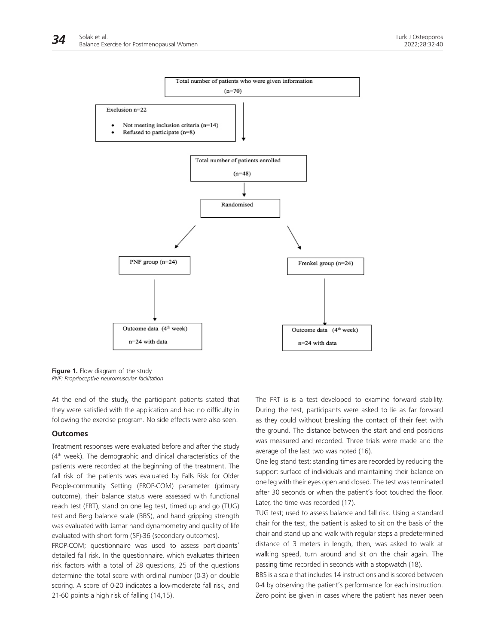

**Figure 1.** Flow diagram of the study *PNF: Proprioceptive neuromuscular facilitation*

At the end of the study, the participant patients stated that they were satisfied with the application and had no difficulty in following the exercise program. No side effects were also seen.

### **Outcomes**

Treatment responses were evaluated before and after the study (4<sup>th</sup> week). The demographic and clinical characteristics of the patients were recorded at the beginning of the treatment. The fall risk of the patients was evaluated by Falls Risk for Older People-community Setting (FROP-COM) parameter (primary outcome), their balance status were assessed with functional reach test (FRT), stand on one leg test, timed up and go (TUG) test and Berg balance scale (BBS), and hand gripping strength was evaluated with Jamar hand dynamometry and quality of life evaluated with short form (SF)-36 (secondary outcomes).

FROP-COM; questionnaire was used to assess participants' detailed fall risk. In the questionnaire, which evaluates thirteen risk factors with a total of 28 questions, 25 of the questions determine the total score with ordinal number (0-3) or double scoring. A score of 0-20 indicates a low-moderate fall risk, and 21-60 points a high risk of falling (14,15).

The FRT is is a test developed to examine forward stability. During the test, participants were asked to lie as far forward as they could without breaking the contact of their feet with the ground. The distance between the start and end positions was measured and recorded. Three trials were made and the average of the last two was noted (16).

One leg stand test; standing times are recorded by reducing the support surface of individuals and maintaining their balance on one leg with their eyes open and closed. The test was terminated after 30 seconds or when the patient's foot touched the floor. Later, the time was recorded (17).

TUG test; used to assess balance and fall risk. Using a standard chair for the test, the patient is asked to sit on the basis of the chair and stand up and walk with regular steps a predetermined distance of 3 meters in length, then, was asked to walk at walking speed, turn around and sit on the chair again. The passing time recorded in seconds with a stopwatch (18).

BBS is a scale that includes 14 instructions and is scored between 0-4 by observing the patient's performance for each instruction. Zero point ise given in cases where the patient has never been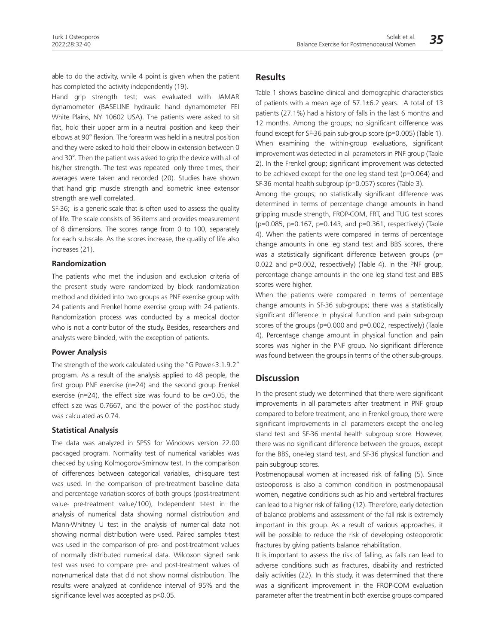able to do the activity, while 4 point is given when the patient has completed the activity independently (19).

Hand grip strength test; was evaluated with JAMAR dynamometer (BASELINE hydraulic hand dynamometer FEI White Plains, NY 10602 USA). The patients were asked to sit flat, hold their upper arm in a neutral position and keep their elbows at 90° flexion. The forearm was held in a neutral position and they were asked to hold their elbow in extension between 0 and 30°. Then the patient was asked to grip the device with all of his/her strength. The test was repeated only three times, their averages were taken and recorded (20). Studies have shown that hand grip muscle strength and isometric knee extensor strength are well correlated.

SF-36; is a generic scale that is often used to assess the quality of life. The scale consists of 36 items and provides measurement of 8 dimensions. The scores range from 0 to 100, separately for each subscale. As the scores increase, the quality of life also increases (21).

#### **Randomization**

The patients who met the inclusion and exclusion criteria of the present study were randomized by block randomization method and divided into two groups as PNF exercise group with 24 patients and Frenkel home exercise group with 24 patients. Randomization process was conducted by a medical doctor who is not a contributor of the study. Besides, researchers and analysts were blinded, with the exception of patients.

#### **Power Analysis**

The strength of the work calculated using the "G Power-3.1.9.2" program. As a result of the analysis applied to 48 people, the first group PNF exercise (n=24) and the second group Frenkel exercise (n=24), the effect size was found to be  $\alpha$ =0.05, the effect size was 0.7667, and the power of the post-hoc study was calculated as 0.74.

#### **Statistical Analysis**

The data was analyzed in SPSS for Windows version 22.00 packaged program. Normality test of numerical variables was checked by using Kolmogorov-Smirnow test. In the comparison of differences between categorical variables, chi-square test was used. In the comparison of pre-treatment baseline data and percentage variation scores of both groups (post-treatment value- pre-treatment value/100), Independent t-test in the analysis of numerical data showing normal distribution and Mann-Whitney U test in the analysis of numerical data not showing normal distribution were used. Paired samples t-test was used in the comparison of pre- and post-treatment values of normally distributed numerical data. Wilcoxon signed rank test was used to compare pre- and post-treatment values of non-numerical data that did not show normal distribution. The results were analyzed at confidence interval of 95% and the significance level was accepted as p<0.05.

# **Results**

Table 1 shows baseline clinical and demographic characteristics of patients with a mean age of 57.1±6.2 years. A total of 13 patients (27.1%) had a history of falls in the last 6 months and 12 months. Among the groups; no significant difference was found except for SF-36 pain sub-group score (p=0.005) (Table 1). When examining the within-group evaluations, significant improvement was detected in all parameters in PNF group (Table 2). In the Frenkel group; significant improvement was detected to be achieved except for the one leg stand test (p=0.064) and SF-36 mental health subgroup (p=0.057) scores (Table 3).

Among the groups; no statistically significant difference was determined in terms of percentage change amounts in hand gripping muscle strength, FROP-COM, FRT, and TUG test scores (p=0.085, p=0.167, p=0.143, and p=0.361, respectively) (Table 4). When the patients were compared in terms of percentage change amounts in one leg stand test and BBS scores, there was a statistically significant difference between groups (p= 0.022 and p=0.002, respectively) (Table 4). In the PNF group, percentage change amounts in the one leg stand test and BBS scores were higher.

When the patients were compared in terms of percentage change amounts in SF-36 sub-groups; there was a statistically significant difference in physical function and pain sub-group scores of the groups (p=0.000 and p=0.002, respectively) (Table 4). Percentage change amount in physical function and pain scores was higher in the PNF group. No significant difference was found between the groups in terms of the other sub-groups.

# **Discussion**

In the present study we determined that there were significant improvements in all parameters after treatment in PNF group compared to before treatment, and in Frenkel group, there were significant improvements in all parameters except the one-leg stand test and SF-36 mental health subgroup score. However, there was no significant difference between the groups, except for the BBS, one-leg stand test, and SF-36 physical function and pain subgroup scores.

Postmenopausal women at increased risk of falling (5). Since osteoporosis is also a common condition in postmenopausal women, negative conditions such as hip and vertebral fractures can lead to a higher risk of falling (12). Therefore, early detection of balance problems and assessment of the fall risk is extremely important in this group. As a result of various approaches, it will be possible to reduce the risk of developing osteoporotic fractures by giving patients balance rehabilitation.

It is important to assess the risk of falling, as falls can lead to adverse conditions such as fractures, disability and restricted daily activities (22). In this study, it was determined that there was a significant improvement in the FROP-COM evaluation parameter after the treatment in both exercise groups compared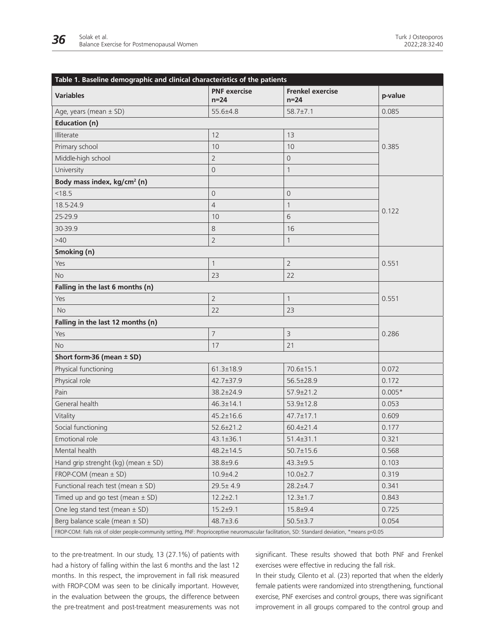| Table 1. Baseline demographic and clinical characteristics of the patients                                                                    |                               |                                   |          |  |  |
|-----------------------------------------------------------------------------------------------------------------------------------------------|-------------------------------|-----------------------------------|----------|--|--|
| <b>Variables</b>                                                                                                                              | <b>PNF</b> exercise<br>$n=24$ | <b>Frenkel exercise</b><br>$n=24$ | p-value  |  |  |
| Age, years (mean $\pm$ SD)                                                                                                                    | 55.6±4.8                      | $58.7 \pm 7.1$                    | 0.085    |  |  |
| <b>Education (n)</b>                                                                                                                          |                               |                                   |          |  |  |
| Illiterate                                                                                                                                    | 12                            | 13                                |          |  |  |
| Primary school                                                                                                                                | 10                            | 10                                | 0.385    |  |  |
| Middle-high school                                                                                                                            | $\overline{2}$                | $\mathbf 0$                       |          |  |  |
| University                                                                                                                                    | $\overline{0}$                | $\mathbf{1}$                      |          |  |  |
| Body mass index, kg/cm <sup>2</sup> (n)                                                                                                       |                               |                                   |          |  |  |
| < 18.5                                                                                                                                        | $\overline{0}$                | $\overline{0}$                    |          |  |  |
| 18.5-24.9                                                                                                                                     | $\overline{4}$                | $\mathbf{1}$                      |          |  |  |
| 25-29.9                                                                                                                                       | 10                            | 6                                 | 0.122    |  |  |
| 30-39.9                                                                                                                                       | 8                             | 16                                |          |  |  |
| $>40$                                                                                                                                         | $\overline{2}$                | $\mathbf{1}$                      |          |  |  |
| Smoking (n)                                                                                                                                   |                               |                                   |          |  |  |
| Yes                                                                                                                                           | $\mathbf{1}$                  | $\overline{2}$                    | 0.551    |  |  |
| <b>No</b>                                                                                                                                     | 23                            | 22                                |          |  |  |
| Falling in the last 6 months (n)                                                                                                              |                               |                                   |          |  |  |
| Yes                                                                                                                                           | $\overline{2}$                | $\mathbf{1}$                      | 0.551    |  |  |
| <b>No</b>                                                                                                                                     | 22                            | 23                                |          |  |  |
| Falling in the last 12 months (n)                                                                                                             |                               |                                   |          |  |  |
| Yes                                                                                                                                           | $\overline{7}$                | $\overline{3}$                    | 0.286    |  |  |
| <b>No</b>                                                                                                                                     | 17                            | 21                                |          |  |  |
| Short form-36 (mean $\pm$ SD)                                                                                                                 |                               |                                   |          |  |  |
| Physical functioning                                                                                                                          | $61.3 \pm 18.9$               | $70.6 \pm 15.1$                   | 0.072    |  |  |
| Physical role                                                                                                                                 | 42.7±37.9                     | 56.5±28.9                         | 0.172    |  |  |
| Pain                                                                                                                                          | $38.2 \pm 24.9$               | $57.9 \pm 21.2$                   | $0.005*$ |  |  |
| General health                                                                                                                                | $46.3 \pm 14.1$               | 53.9±12.8                         | 0.053    |  |  |
| Vitality                                                                                                                                      | $45.2 \pm 16.6$               | $47.7 \pm 17.1$                   | 0.609    |  |  |
| Social functioning                                                                                                                            | $52.6 \pm 21.2$               | $60.4 \pm 21.4$                   | 0.177    |  |  |
| Emotional role                                                                                                                                | $43.1 \pm 36.1$               | $51.4 \pm 31.1$                   | 0.321    |  |  |
| Mental health                                                                                                                                 | $48.2 \pm 14.5$               | $50.7 \pm 15.6$                   | 0.568    |  |  |
| Hand grip strenght (kg) (mean $\pm$ SD)                                                                                                       | 38.8±9.6                      | $43.3 \pm 9.5$                    | 0.103    |  |  |
| FROP-COM (mean ± SD)                                                                                                                          | $10.9 + 4.2$                  | $10.0 \pm 2.7$                    | 0.319    |  |  |
| Functional reach test (mean $\pm$ SD)                                                                                                         | $29.5 \pm 4.9$                | $28.2 \pm 4.7$                    | 0.341    |  |  |
| Timed up and go test (mean $\pm$ SD)                                                                                                          | $12.2 \pm 2.1$                | $12.3 \pm 1.7$                    | 0.843    |  |  |
| One leg stand test (mean $\pm$ SD)                                                                                                            | $15.2 \pm 9.1$                | $15.8 + 9.4$                      | 0.725    |  |  |
| Berg balance scale (mean ± SD)                                                                                                                | $48.7 \pm 3.6$                | $50.5 \pm 3.7$                    | 0.054    |  |  |
| FROP-COM: Falls risk of older people-community setting, PNF: Proprioceptive neuromuscular facilitation, SD: Standard deviation, *means p<0.05 |                               |                                   |          |  |  |

to the pre-treatment. In our study, 13 (27.1%) of patients with had a history of falling within the last 6 months and the last 12 months. In this respect, the improvement in fall risk measured with FROP-COM was seen to be clinically important. However, in the evaluation between the groups, the difference between the pre-treatment and post-treatment measurements was not significant. These results showed that both PNF and Frenkel exercises were effective in reducing the fall risk.

In their study, Cilento et al. (23) reported that when the elderly female patients were randomized into strengthening, functional exercise, PNF exercises and control groups, there was significant improvement in all groups compared to the control group and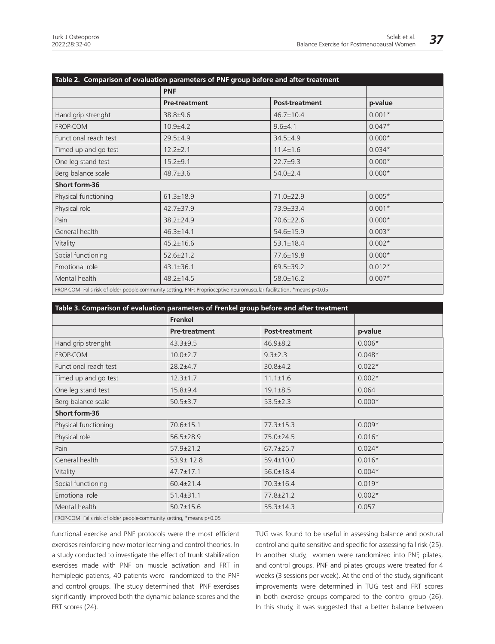| Table 2. Comparison of evaluation parameters of PNF group before and after treatment |                                                                                                                       |                       |          |  |  |
|--------------------------------------------------------------------------------------|-----------------------------------------------------------------------------------------------------------------------|-----------------------|----------|--|--|
|                                                                                      | <b>PNF</b>                                                                                                            |                       |          |  |  |
|                                                                                      | <b>Pre-treatment</b>                                                                                                  | <b>Post-treatment</b> | p-value  |  |  |
| Hand grip strenght                                                                   | 38.8±9.6                                                                                                              | 46.7±10.4             | $0.001*$ |  |  |
| FROP-COM                                                                             | $10.9 + 4.2$                                                                                                          | $9.6 + 4.1$           | $0.047*$ |  |  |
| Functional reach test                                                                | $29.5 \pm 4.9$                                                                                                        | $34.5 + 4.9$          | $0.000*$ |  |  |
| Timed up and go test                                                                 | $12.2 \pm 2.1$                                                                                                        | $11.4 \pm 1.6$        | $0.034*$ |  |  |
| One leg stand test                                                                   | $15.2 + 9.1$                                                                                                          | $22.7 + 9.3$          | $0.000*$ |  |  |
| Berg balance scale                                                                   | $48.7 \pm 3.6$                                                                                                        | $54.0 \pm 2.4$        | $0.000*$ |  |  |
| Short form-36                                                                        |                                                                                                                       |                       |          |  |  |
| Physical functioning                                                                 | $61.3 \pm 18.9$                                                                                                       | 71.0±22.9             | $0.005*$ |  |  |
| Physical role                                                                        | $42.7 \pm 37.9$                                                                                                       | 73.9±33.4             | $0.001*$ |  |  |
| Pain                                                                                 | 38.2±24.9                                                                                                             | 70.6±22.6             | $0.000*$ |  |  |
| General health                                                                       | $46.3 \pm 14.1$                                                                                                       | 54.6±15.9             | $0.003*$ |  |  |
| Vitality                                                                             | $45.2 \pm 16.6$                                                                                                       | $53.1 \pm 18.4$       | $0.002*$ |  |  |
| Social functioning                                                                   | $52.6 \pm 21.2$                                                                                                       | 77.6±19.8             | $0.000*$ |  |  |
| Emotional role                                                                       | $43.1 \pm 36.1$                                                                                                       | $69.5 \pm 39.2$       | $0.012*$ |  |  |
| Mental health                                                                        | $48.2 \pm 14.5$                                                                                                       | $58.0 \pm 16.2$       | $0.007*$ |  |  |
|                                                                                      | FROP-COM: Falls risk of older people-community setting, PNF: Proprioceptive neuromuscular facilitation, *means p<0.05 |                       |          |  |  |

| Table 3. Comparison of evaluation parameters of Frenkel group before and after treatment |                      |                       |          |  |  |
|------------------------------------------------------------------------------------------|----------------------|-----------------------|----------|--|--|
|                                                                                          | Frenkel              |                       |          |  |  |
|                                                                                          | <b>Pre-treatment</b> | <b>Post-treatment</b> | p-value  |  |  |
| Hand grip strenght                                                                       | $43.3 + 9.5$         | $46.9 \pm 8.2$        | $0.006*$ |  |  |
| FROP-COM                                                                                 | $10.0 \pm 2.7$       | $9.3 \pm 2.3$         | $0.048*$ |  |  |
| Functional reach test                                                                    | $28.2 \pm 4.7$       | 30.8±4.2              | $0.022*$ |  |  |
| Timed up and go test                                                                     | $12.3 \pm 1.7$       | $11.1 \pm 1.6$        | $0.002*$ |  |  |
| One leg stand test                                                                       | $15.8 + 9.4$         | $19.1 \pm 8.5$        | 0.064    |  |  |
| Berg balance scale                                                                       | $50.5 \pm 3.7$       | $53.5 \pm 2.3$        | $0.000*$ |  |  |
| Short form-36                                                                            |                      |                       |          |  |  |
| Physical functioning                                                                     | $70.6 \pm 15.1$      | $77.3 \pm 15.3$       | $0.009*$ |  |  |
| Physical role                                                                            | 56.5±28.9            | 75.0±24.5             | $0.016*$ |  |  |
| Pain                                                                                     | $57.9 \pm 21.2$      | $67.7 \pm 25.7$       | $0.024*$ |  |  |
| General health                                                                           | 53.9± 12.8           | 59.4±10.0             | $0.016*$ |  |  |
| Vitality                                                                                 | $47.7 \pm 17.1$      | $56.0 \pm 18.4$       | $0.004*$ |  |  |
| Social functioning                                                                       | $60.4 \pm 21.4$      | $70.3 \pm 16.4$       | $0.019*$ |  |  |
| Emotional role                                                                           | $51.4 \pm 31.1$      | 77.8±21.2             | $0.002*$ |  |  |
| Mental health                                                                            | $50.7 \pm 15.6$      | $55.3 \pm 14.3$       | 0.057    |  |  |
| FROP-COM: Falls risk of older people-community setting, *means p<0.05                    |                      |                       |          |  |  |

functional exercise and PNF protocols were the most efficient exercises reinforcing new motor learning and control theories. In a study conducted to investigate the effect of trunk stabilization exercises made with PNF on muscle activation and FRT in hemiplegic patients, 40 patients were randomized to the PNF and control groups. The study determined that PNF exercises significantly improved both the dynamic balance scores and the FRT scores (24).

TUG was found to be useful in assessing balance and postural control and quite sensitive and specific for assessing fall risk (25). In another study, women were randomized into PNF, pilates, and control groups. PNF and pilates groups were treated for 4 weeks (3 sessions per week). At the end of the study, significant improvements were determined in TUG test and FRT scores in both exercise groups compared to the control group (26). In this study, it was suggested that a better balance between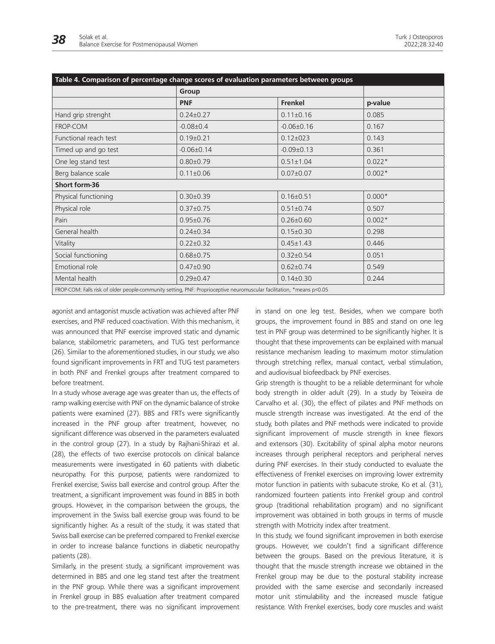| Table 4. Comparison of percentage change scores of evaluation parameters between groups |                                                                                                                       |                  |          |  |
|-----------------------------------------------------------------------------------------|-----------------------------------------------------------------------------------------------------------------------|------------------|----------|--|
|                                                                                         | Group                                                                                                                 |                  |          |  |
|                                                                                         | <b>PNF</b>                                                                                                            | Frenkel          | p-value  |  |
| Hand grip strenght                                                                      | $0.24 \pm 0.27$                                                                                                       | $0.11 \pm 0.16$  | 0.085    |  |
| FROP-COM                                                                                | $-0.08 \pm 0.4$                                                                                                       | $-0.06 \pm 0.16$ | 0.167    |  |
| Functional reach test                                                                   | $0.19 \pm 0.21$                                                                                                       | $0.12 \pm 023$   | 0.143    |  |
| Timed up and go test                                                                    | $-0.06 \pm 0.14$                                                                                                      | $-0.09 \pm 0.13$ | 0.361    |  |
| One leg stand test                                                                      | $0.80 \pm 0.79$                                                                                                       | $0.51 \pm 1.04$  | $0.022*$ |  |
| Berg balance scale                                                                      | $0.11 \pm 0.06$                                                                                                       | $0.07 \pm 0.07$  | $0.002*$ |  |
| Short form-36                                                                           |                                                                                                                       |                  |          |  |
| Physical functioning                                                                    | $0.30 \pm 0.39$                                                                                                       | $0.16 \pm 0.51$  | $0.000*$ |  |
| Physical role                                                                           | $0.37 \pm 0.75$                                                                                                       | $0.51 \pm 0.74$  | 0.507    |  |
| Pain                                                                                    | $0.95 \pm 0.76$                                                                                                       | $0.26 \pm 0.60$  | $0.002*$ |  |
| General health                                                                          | $0.24 \pm 0.34$                                                                                                       | $0.15 \pm 0.30$  | 0.298    |  |
| Vitality                                                                                | $0.22 \pm 0.32$                                                                                                       | $0.45 \pm 1.43$  | 0.446    |  |
| Social functioning                                                                      | $0.68 \pm 0.75$                                                                                                       | $0.32 \pm 0.54$  | 0.051    |  |
| Emotional role                                                                          | $0.47 \pm 0.90$                                                                                                       | $0.62 \pm 0.74$  | 0.549    |  |
| Mental health                                                                           | $0.29 \pm 0.47$                                                                                                       | $0.14 \pm 0.30$  | 0.244    |  |
|                                                                                         | FROP-COM: Falls risk of older people-community setting, PNF: Proprioceptive neuromuscular facilitation, *means p<0.05 |                  |          |  |

agonist and antagonist muscle activation was achieved after PNF exercises, and PNF reduced coactivation. With this mechanism, it was announced that PNF exercise improved static and dynamic balance, stabilometric parameters, and TUG test performance (26). Similar to the aforementioned studies, in our study, we also found significant improvements in FRT and TUG test parameters in both PNF and Frenkel groups after treatment compared to before treatment.

In a study whose average age was greater than us, the effects of ramp walking exercise with PNF on the dynamic balance of stroke patients were examined (27). BBS and FRTs were significantly increased in the PNF group after treatment, however, no significant difference was observed in the parameters evaluated in the control group (27). In a study by Rajhani-Shirazi et al. (28), the effects of two exercise protocols on clinical balance measurements were investigated in 60 patients with diabetic neuropathy. For this purpose, patients were randomized to Frenkel exercise, Swiss ball exercise and control group. After the treatment, a significant improvement was found in BBS in both groups. However, in the comparison between the groups, the improvement in the Swiss ball exercise group was found to be significantly higher. As a result of the study, it was stated that Swiss ball exercise can be preferred compared to Frenkel exercise in order to increase balance functions in diabetic neuropathy patients (28).

Similarly, in the present study, a significant improvement was determined in BBS and one leg stand test after the treatment in the PNF group. While there was a significant improvement in Frenkel group in BBS evaluation after treatment compared to the pre-treatment, there was no significant improvement in stand on one leg test. Besides, when we compare both groups, the improvement found in BBS and stand on one leg test in PNF group was determined to be significantly higher. It is thought that these improvements can be explained with manual resistance mechanism leading to maximum motor stimulation through stretching reflex, manual contact, verbal stimulation, and audiovisual biofeedback by PNF exercises.

Grip strength is thought to be a reliable determinant for whole body strength in older adult (29). In a study by Teixeira de Carvalho et al. (30), the effect of pilates and PNF methods on muscle strength increase was investigated. At the end of the study, both pilates and PNF methods were indicated to provide significant improvement of muscle strength in knee flexors and extensors (30). Excitability of spinal alpha motor neurons increases through peripheral receptors and peripheral nerves during PNF exercises. In their study conducted to evaluate the effectiveness of Frenkel exercises on improving lower extremity motor function in patients with subacute stroke, Ko et al. (31), randomized fourteen patients into Frenkel group and control group (traditional rehabilitation program) and no significant improvement was obtained in both groups in terms of muscle strength with Motricity index after treatment.

In this study, we found significant improvemen in both exercise groups. However, we couldn't find a significant difference between the groups. Based on the previous literature, it is thought that the muscle strength increase we obtained in the Frenkel group may be due to the postural stability increase provided with the same exercise and secondarily increased motor unit stimulability and the increased muscle fatigue resistance. With Frenkel exercises, body core muscles and waist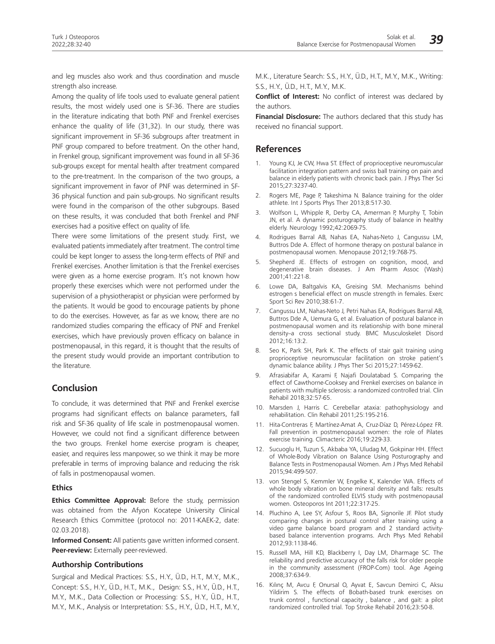and leg muscles also work and thus coordination and muscle strength also increase.

Among the quality of life tools used to evaluate general patient results, the most widely used one is SF-36. There are studies in the literature indicating that both PNF and Frenkel exercises enhance the quality of life (31,32). In our study, there was significant improvement in SF-36 subgroups after treatment in PNF group compared to before treatment. On the other hand, in Frenkel group, significant improvement was found in all SF-36 sub-groups except for mental health after treatment compared to the pre-treatment. In the comparison of the two groups, a significant improvement in favor of PNF was determined in SF-36 physical function and pain sub-groups. No significant results were found in the comparison of the other subgroups. Based on these results, it was concluded that both Frenkel and PNF exercises had a positive effect on quality of life.

There were some limitations of the present study. First, we evaluated patients immediately after treatment. The control time could be kept longer to assess the long-term effects of PNF and Frenkel exercises. Another limitation is that the Frenkel exercises were given as a home exercise program. It's not known how properly these exercises which were not performed under the supervision of a physiotherapist or physician were performed by the patients. It would be good to encourage patients by phone to do the exercises. However, as far as we know, there are no randomized studies comparing the efficacy of PNF and Frenkel exercises, which have previously proven efficacy on balance in postmenopausal, in this regard, it is thought that the results of the present study would provide an important contribution to the literature.

# **Conclusion**

To conclude, it was determined that PNF and Frenkel exercise programs had significant effects on balance parameters, fall risk and SF-36 quality of life scale in postmenopausal women. However, we could not find a significant difference between the two groups. Frenkel home exercise program is cheaper, easier, and requires less manpower, so we think it may be more preferable in terms of improving balance and reducing the risk of falls in postmenopausal women.

#### **Ethics**

**Ethics Committee Approval:** Before the study, permission was obtained from the Afyon Kocatepe University Clinical Research Ethics Committee (protocol no: 2011-KAEK-2, date: 02.03.2018).

**Informed Consent:** All patients gave written informed consent. **Peer-review:** Externally peer-reviewed.

#### **Authorship Contributions**

Surgical and Medical Practices: S.S., H.Y., Ü.D., H.T., M.Y., M.K., Concept: S.S., H.Y., Ü.D., H.T., M.K., Design: S.S., H.Y., Ü.D., H.T., M.Y., M.K., Data Collection or Processing: S.S., H.Y., Ü.D., H.T., M.Y., M.K., Analysis or Interpretation: S.S., H.Y., Ü.D., H.T., M.Y.,

M.K., Literature Search: S.S., H.Y., Ü.D., H.T., M.Y., M.K., Writing: S.S., H.Y., Ü.D., H.T., M.Y., M.K.

**Conflict of Interest:** No conflict of interest was declared by the authors.

**Financial Disclosure:** The authors declared that this study has received no financial support.

### **References**

- 1. Young KJ, Je CW, Hwa ST. Effect of proprioceptive neuromuscular facilitation integration pattern and swiss ball training on pain and balance in elderly patients with chronic back pain. J Phys Ther Sci 2015;27:3237-40.
- 2. Rogers ME, Page P, Takeshima N. Balance training for the older athlete. Int J Sports Phys Ther 2013;8:517-30.
- 3. Wolfson L, Whipple R, Derby CA, Amerman P, Murphy T, Tobin JN, et al. A dynamic posturography study of balance in healthy elderly. Neurology 1992;42:2069-75.
- 4. Rodrigues Barral AB, Nahas EA, Nahas-Neto J, Cangussu LM, Buttros Dde A. Effect of hormone therapy on postural balance in postmenopausal women. Menopause 2012;19:768-75.
- 5. Shepherd JE. Effects of estrogen on cognition, mood, and degenerative brain diseases. J Am Pharm Assoc (Wash) 2001;41:221-8.
- 6. Lowe DA, Baltgalvis KA, Greising SM. Mechanisms behind estrogen s beneficial effect on muscle strength in females. Exerc Sport Sci Rev 2010;38:61-7.
- 7. Cangussu LM, Nahas-Neto J, Petri Nahas EA, Rodrigues Barral AB, Buttros Dde A, Uemura G, et al. Evaluation of postural balance in postmenopausal women and its relationship with bone mineral density-a cross sectional study. BMC Musculoskelet Disord 2012;16:13:2.
- 8. Seo K, Park SH, Park K. The effects of stair gait training using proprioceptive neuromuscular facilitation on stroke patient's dynamic balance ability. J Phys Ther Sci 2015;27:1459-62.
- 9. Afrasiabifar A, Karami F, Najafi Doulatabad S. Comparing the effect of Cawthorne-Cooksey and Frenkel exercises on balance in patients with multiple sclerosis: a randomized controlled trial. Clin Rehabil 2018;32:57-65.
- 10. Marsden J, Harris C. Cerebellar ataxia: pathophysiology and rehabilitation. Clin Rehabil 2011;25:195-216.
- 11. Hita-Contreras F, Martínez-Amat A, Cruz-Díaz D, Pérez-López FR. Fall prevention in postmenopausal women: the role of Pilates exercise training. Climacteric 2016;19:229-33.
- 12. Sucuoglu H, Tuzun S, Akbaba YA, Uludag M, Gokpinar HH. Effect of Whole-Body Vibration on Balance Using Posturography and Balance Tests in Postmenopausal Women. Am J Phys Med Rehabil 2015;94:499-507.
- 13. von Stengel S, Kemmler W, Engelke K, Kalender WA. Effects of whole body vibration on bone mineral density and falls: results of the randomized controlled ELVIS study with postmenopausal women. Osteoporos Int 2011;22:317-25.
- 14. Pluchino A, Lee SY, Asfour S, Roos BA, Signorile JF. Pilot study comparing changes in postural control after training using a video game balance board program and 2 standard activitybased balance intervention programs. Arch Phys Med Rehabil 2012;93:1138-46.
- 15. Russell MA, Hill KD, Blackberry I, Day LM, Dharmage SC. The reliability and predictive accuracy of the falls risk for older people in the community assessment (FROP-Com) tool. Age Ageing 2008;37:634-9.
- 16. Kılınç M, Avcu F, Onursal O, Ayvat E, Savcun Demirci C, Aksu Yildirim S. The effects of Bobath-based trunk exercises on trunk control , functional capacity , balance , and gait: a pilot randomized controlled trial. Top Stroke Rehabil 2016;23:50-8.